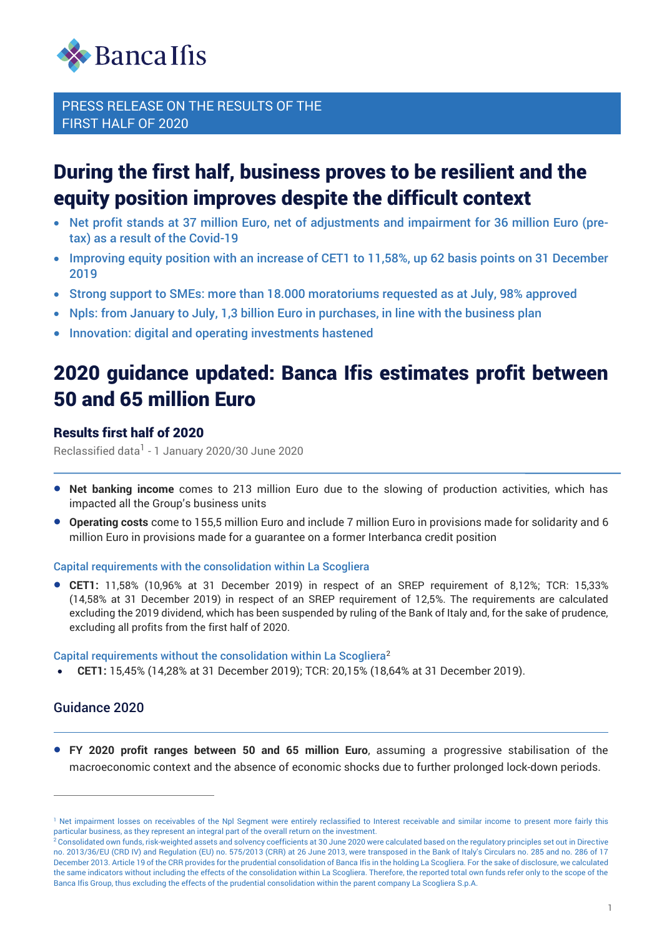

# During the first half, business proves to be resilient and the equity position improves despite the difficult context

- Net profit stands at 37 million Euro, net of adjustments and impairment for 36 million Euro (pretax) as a result of the Covid-19
- Improving equity position with an increase of CET1 to 11,58%, up 62 basis points on 31 December 2019
- Strong support to SMEs: more than 18.000 moratoriums requested as at July, 98% approved
- Npls: from January to July, 1,3 billion Euro in purchases, in line with the business plan
- Innovation: digital and operating investments hastened

# 2020 guidance updated: Banca Ifis estimates profit between 50 and 65 million Euro

## Results first half of 2020

Reclassified data<sup>1</sup> - 1 January 2020/30 June 2020

- **Net banking income** comes to 213 million Euro due to the slowing of production activities, which has impacted all the Group's business units
- **Operating costs** come to 155,5 million Euro and include 7 million Euro in provisions made for solidarity and 6 million Euro in provisions made for a guarantee on a former Interbanca credit position

#### Capital requirements with the consolidation within La Scogliera

• **CET1:** 11,58% (10,96% at 31 December 2019) in respect of an SREP requirement of 8,12%; TCR: 15,33% (14,58% at 31 December 2019) in respect of an SREP requirement of 12,5%. The requirements are calculated excluding the 2019 dividend, which has been suspended by ruling of the Bank of Italy and, for the sake of prudence, excluding all profits from the first half of 2020.

Capital requirements without the consolidation within La Scogliera<sup>2</sup>

• **CET1:** 15,45% (14,28% at 31 December 2019); TCR: 20,15% (18,64% at 31 December 2019).

## Guidance 2020

• **FY 2020 profit ranges between 50 and 65 million Euro**, assuming a progressive stabilisation of the macroeconomic context and the absence of economic shocks due to further prolonged lock-down periods.

<sup>&</sup>lt;sup>1</sup> Net impairment losses on receivables of the Npl Segment were entirely reclassified to Interest receivable and similar income to present more fairly this particular business, as they represent an integral part of the overall return on the investment.

<sup>&</sup>lt;sup>2</sup> Consolidated own funds, risk-weighted assets and solvency coefficients at 30 June 2020 were calculated based on the regulatory principles set out in Directive no. 2013/36/EU (CRD IV) and Regulation (EU) no. 575/2013 (CRR) at 26 June 2013, were transposed in the Bank of Italy's Circulars no. 285 and no. 286 of 17 December 2013. Article 19 of the CRR provides for the prudential consolidation of Banca Ifis in the holding La Scogliera. For the sake of disclosure, we calculated the same indicators without including the effects of the consolidation within La Scogliera. Therefore, the reported total own funds refer only to the scope of the Banca Ifis Group, thus excluding the effects of the prudential consolidation within the parent company La Scogliera S.p.A.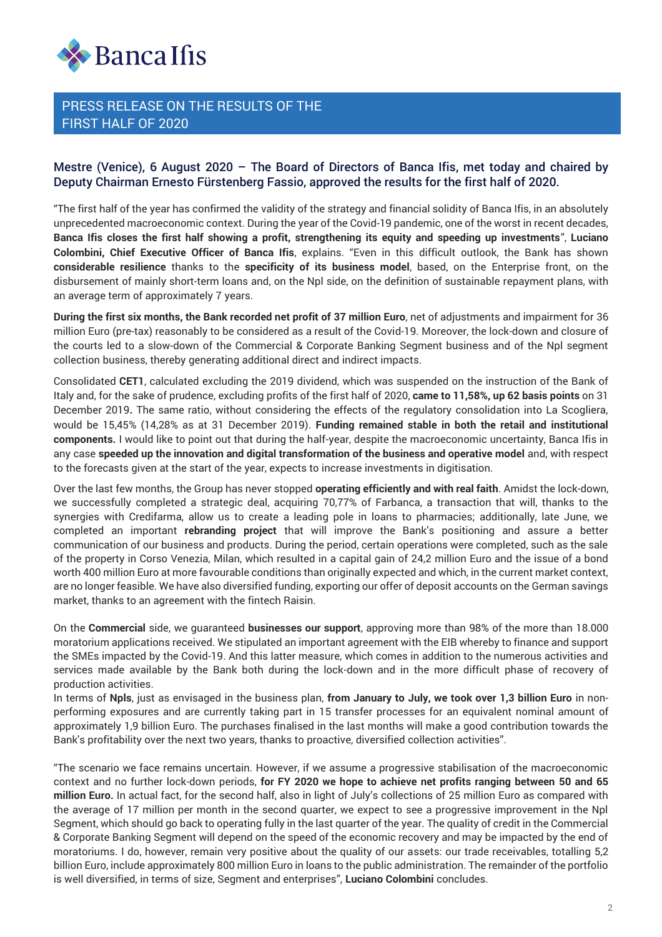

#### Mestre (Venice), 6 August 2020 – The Board of Directors of Banca Ifis, met today and chaired by Deputy Chairman Ernesto Fürstenberg Fassio, approved the results for the first half of 2020.

"The first half of the year has confirmed the validity of the strategy and financial solidity of Banca Ifis, in an absolutely unprecedented macroeconomic context. During the year of the Covid-19 pandemic, one of the worst in recent decades, **Banca Ifis closes the first half showing a profit, strengthening its equity and speeding up investments**", **Luciano Colombini, Chief Executive Officer of Banca Ifis**, explains. "Even in this difficult outlook, the Bank has shown **considerable resilience** thanks to the **specificity of its business model**, based, on the Enterprise front, on the disbursement of mainly short-term loans and, on the Npl side, on the definition of sustainable repayment plans, with an average term of approximately 7 years.

**During the first six months, the Bank recorded net profit of 37 million Euro**, net of adjustments and impairment for 36 million Euro (pre-tax) reasonably to be considered as a result of the Covid-19. Moreover, the lock-down and closure of the courts led to a slow-down of the Commercial & Corporate Banking Segment business and of the Npl segment collection business, thereby generating additional direct and indirect impacts.

Consolidated **CET1**, calculated excluding the 2019 dividend, which was suspended on the instruction of the Bank of Italy and, for the sake of prudence, excluding profits of the first half of 2020, **came to 11,58%, up 62 basis points** on 31 December 2019**.** The same ratio, without considering the effects of the regulatory consolidation into La Scogliera, would be 15,45% (14,28% as at 31 December 2019). **Funding remained stable in both the retail and institutional components.** I would like to point out that during the half-year, despite the macroeconomic uncertainty, Banca Ifis in any case **speeded up the innovation and digital transformation of the business and operative model** and, with respect to the forecasts given at the start of the year, expects to increase investments in digitisation.

Over the last few months, the Group has never stopped **operating efficiently and with real faith**. Amidst the lock-down, we successfully completed a strategic deal, acquiring 70,77% of Farbanca, a transaction that will, thanks to the synergies with Credifarma, allow us to create a leading pole in loans to pharmacies; additionally, late June, we completed an important **rebranding project** that will improve the Bank's positioning and assure a better communication of our business and products. During the period, certain operations were completed, such as the sale of the property in Corso Venezia, Milan, which resulted in a capital gain of 24,2 million Euro and the issue of a bond worth 400 million Euro at more favourable conditions than originally expected and which, in the current market context, are no longer feasible. We have also diversified funding, exporting our offer of deposit accounts on the German savings market, thanks to an agreement with the fintech Raisin.

On the **Commercial** side, we guaranteed **businesses our support**, approving more than 98% of the more than 18.000 moratorium applications received. We stipulated an important agreement with the EIB whereby to finance and support the SMEs impacted by the Covid-19. And this latter measure, which comes in addition to the numerous activities and services made available by the Bank both during the lock-down and in the more difficult phase of recovery of production activities.

In terms of **Npls**, just as envisaged in the business plan, **from January to July, we took over 1,3 billion Euro** in nonperforming exposures and are currently taking part in 15 transfer processes for an equivalent nominal amount of approximately 1,9 billion Euro. The purchases finalised in the last months will make a good contribution towards the Bank's profitability over the next two years, thanks to proactive, diversified collection activities".

"The scenario we face remains uncertain. However, if we assume a progressive stabilisation of the macroeconomic context and no further lock-down periods, **for FY 2020 we hope to achieve net profits ranging between 50 and 65 million Euro.** In actual fact, for the second half, also in light of July's collections of 25 million Euro as compared with the average of 17 million per month in the second quarter, we expect to see a progressive improvement in the Npl Segment, which should go back to operating fully in the last quarter of the year. The quality of credit in the Commercial & Corporate Banking Segment will depend on the speed of the economic recovery and may be impacted by the end of moratoriums. I do, however, remain very positive about the quality of our assets: our trade receivables, totalling 5,2 billion Euro, include approximately 800 million Euro in loans to the public administration. The remainder of the portfolio is well diversified, in terms of size, Segment and enterprises", **Luciano Colombini** concludes.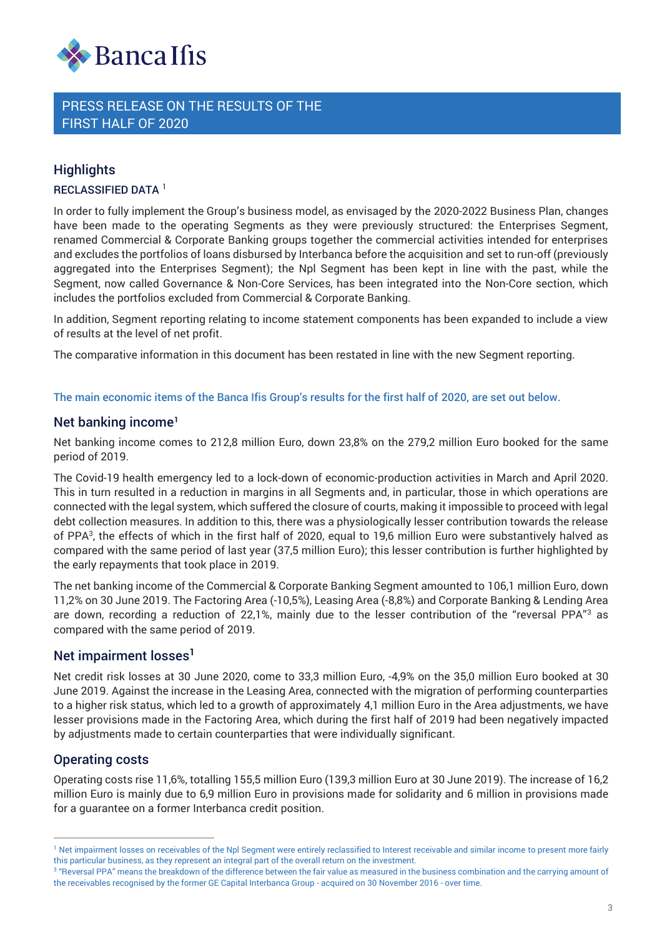

## **Highlights**

RECLASSIFIED DATA<sup>1</sup>

In order to fully implement the Group's business model, as envisaged by the 2020-2022 Business Plan, changes have been made to the operating Segments as they were previously structured: the Enterprises Segment, renamed Commercial & Corporate Banking groups together the commercial activities intended for enterprises and excludes the portfolios of loans disbursed by Interbanca before the acquisition and set to run-off (previously aggregated into the Enterprises Segment); the Npl Segment has been kept in line with the past, while the Segment, now called Governance & Non-Core Services, has been integrated into the Non-Core section, which includes the portfolios excluded from Commercial & Corporate Banking.

In addition, Segment reporting relating to income statement components has been expanded to include a view of results at the level of net profit.

The comparative information in this document has been restated in line with the new Segment reporting.

#### The main economic items of the Banca Ifis Group's results for the first half of 2020, are set out below.

#### Net banking income**<sup>1</sup>**

Net banking income comes to 212,8 million Euro, down 23,8% on the 279,2 million Euro booked for the same period of 2019.

The Covid-19 health emergency led to a lock-down of economic-production activities in March and April 2020. This in turn resulted in a reduction in margins in all Segments and, in particular, those in which operations are connected with the legal system, which suffered the closure of courts, making it impossible to proceed with legal debt collection measures. In addition to this, there was a physiologically lesser contribution towards the release of PPA<sup>3</sup> , the effects of which in the first half of 2020, equal to 19,6 million Euro were substantively halved as compared with the same period of last year (37,5 million Euro); this lesser contribution is further highlighted by the early repayments that took place in 2019.

The net banking income of the Commercial & Corporate Banking Segment amounted to 106,1 million Euro, down 11,2% on 30 June 2019. The Factoring Area (-10,5%), Leasing Area (-8,8%) and Corporate Banking & Lending Area are down, recording a reduction of 22,1%, mainly due to the lesser contribution of the "reversal PPA"<sup>3</sup> as compared with the same period of 2019.

## Net impairment losses**<sup>1</sup>**

Net credit risk losses at 30 June 2020, come to 33,3 million Euro, -4,9% on the 35,0 million Euro booked at 30 June 2019. Against the increase in the Leasing Area, connected with the migration of performing counterparties to a higher risk status, which led to a growth of approximately 4,1 million Euro in the Area adjustments, we have lesser provisions made in the Factoring Area, which during the first half of 2019 had been negatively impacted by adjustments made to certain counterparties that were individually significant.

## Operating costs

Operating costs rise 11,6%, totalling 155,5 million Euro (139,3 million Euro at 30 June 2019). The increase of 16,2 million Euro is mainly due to 6,9 million Euro in provisions made for solidarity and 6 million in provisions made for a guarantee on a former Interbanca credit position.

<sup>&</sup>lt;sup>1</sup> Net impairment losses on receivables of the Npl Segment were entirely reclassified to Interest receivable and similar income to present more fairly this particular business, as they represent an integral part of the overall return on the investment.

 $^\mathrm{3}$  "Reversal PPA" means the breakdown of the difference between the fair value as measured in the business combination and the carrying amount of the receivables recognised by the former GE Capital Interbanca Group - acquired on 30 November 2016 - over time.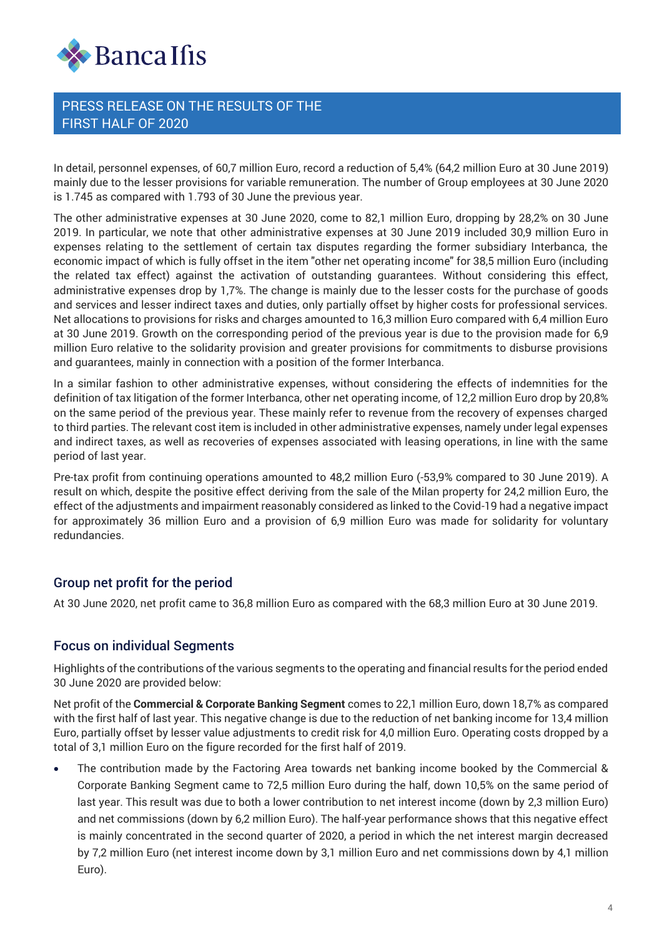

In detail, personnel expenses, of 60,7 million Euro, record a reduction of 5,4% (64,2 million Euro at 30 June 2019) mainly due to the lesser provisions for variable remuneration. The number of Group employees at 30 June 2020 is 1.745 as compared with 1.793 of 30 June the previous year.

The other administrative expenses at 30 June 2020, come to 82,1 million Euro, dropping by 28,2% on 30 June 2019. In particular, we note that other administrative expenses at 30 June 2019 included 30,9 million Euro in expenses relating to the settlement of certain tax disputes regarding the former subsidiary Interbanca, the economic impact of which is fully offset in the item "other net operating income" for 38,5 million Euro (including the related tax effect) against the activation of outstanding guarantees. Without considering this effect, administrative expenses drop by 1,7%. The change is mainly due to the lesser costs for the purchase of goods and services and lesser indirect taxes and duties, only partially offset by higher costs for professional services. Net allocations to provisions for risks and charges amounted to 16,3 million Euro compared with 6,4 million Euro at 30 June 2019. Growth on the corresponding period of the previous year is due to the provision made for 6,9 million Euro relative to the solidarity provision and greater provisions for commitments to disburse provisions and guarantees, mainly in connection with a position of the former Interbanca.

In a similar fashion to other administrative expenses, without considering the effects of indemnities for the definition of tax litigation of the former Interbanca, other net operating income, of 12,2 million Euro drop by 20,8% on the same period of the previous year. These mainly refer to revenue from the recovery of expenses charged to third parties. The relevant cost item is included in other administrative expenses, namely under legal expenses and indirect taxes, as well as recoveries of expenses associated with leasing operations, in line with the same period of last year.

Pre-tax profit from continuing operations amounted to 48,2 million Euro (-53,9% compared to 30 June 2019). A result on which, despite the positive effect deriving from the sale of the Milan property for 24,2 million Euro, the effect of the adjustments and impairment reasonably considered as linked to the Covid-19 had a negative impact for approximately 36 million Euro and a provision of 6,9 million Euro was made for solidarity for voluntary redundancies.

## Group net profit for the period

At 30 June 2020, net profit came to 36,8 million Euro as compared with the 68,3 million Euro at 30 June 2019.

## Focus on individual Segments

Highlights of the contributions of the various segments to the operating and financial results for the period ended 30 June 2020 are provided below:

Net profit of the **Commercial & Corporate Banking Segment** comes to 22,1 million Euro, down 18,7% as compared with the first half of last year. This negative change is due to the reduction of net banking income for 13,4 million Euro, partially offset by lesser value adjustments to credit risk for 4,0 million Euro. Operating costs dropped by a total of 3,1 million Euro on the figure recorded for the first half of 2019.

• The contribution made by the Factoring Area towards net banking income booked by the Commercial & Corporate Banking Segment came to 72,5 million Euro during the half, down 10,5% on the same period of last year. This result was due to both a lower contribution to net interest income (down by 2,3 million Euro) and net commissions (down by 6,2 million Euro). The half-year performance shows that this negative effect is mainly concentrated in the second quarter of 2020, a period in which the net interest margin decreased by 7,2 million Euro (net interest income down by 3,1 million Euro and net commissions down by 4,1 million Euro).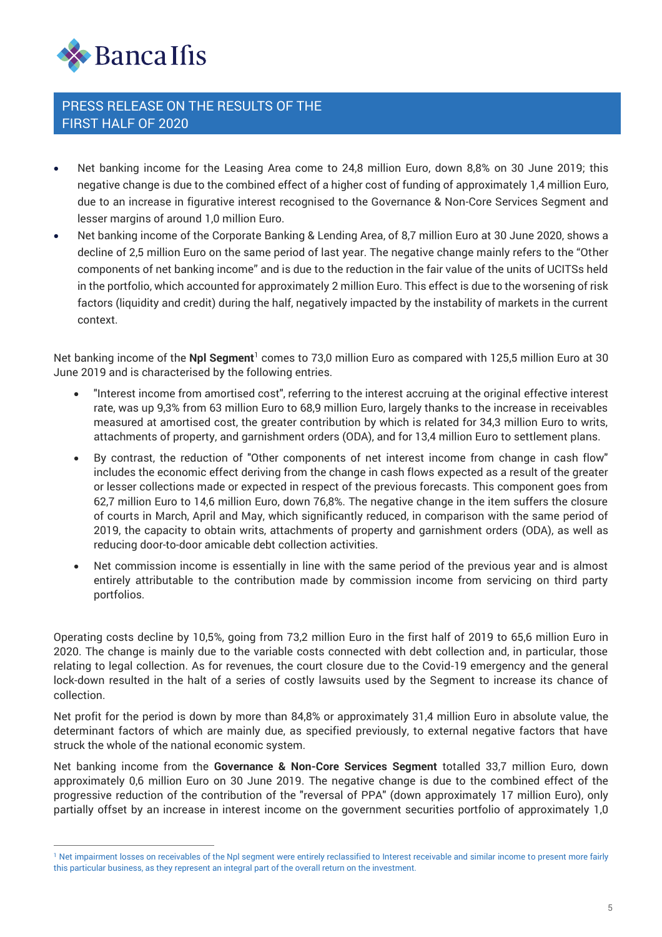

- Net banking income for the Leasing Area come to 24,8 million Euro, down 8,8% on 30 June 2019; this negative change is due to the combined effect of a higher cost of funding of approximately 1,4 million Euro, due to an increase in figurative interest recognised to the Governance & Non-Core Services Segment and lesser margins of around 1,0 million Euro.
- Net banking income of the Corporate Banking & Lending Area, of 8,7 million Euro at 30 June 2020, shows a decline of 2,5 million Euro on the same period of last year. The negative change mainly refers to the "Other components of net banking income" and is due to the reduction in the fair value of the units of UCITSs held in the portfolio, which accounted for approximately 2 million Euro. This effect is due to the worsening of risk factors (liquidity and credit) during the half, negatively impacted by the instability of markets in the current context.

Net banking income of the **Npl Segment**<sup>1</sup> comes to 73,0 million Euro as compared with 125,5 million Euro at 30 June 2019 and is characterised by the following entries.

- "Interest income from amortised cost", referring to the interest accruing at the original effective interest rate, was up 9,3% from 63 million Euro to 68,9 million Euro, largely thanks to the increase in receivables measured at amortised cost, the greater contribution by which is related for 34,3 million Euro to writs, attachments of property, and garnishment orders (ODA), and for 13,4 million Euro to settlement plans.
- By contrast, the reduction of "Other components of net interest income from change in cash flow" includes the economic effect deriving from the change in cash flows expected as a result of the greater or lesser collections made or expected in respect of the previous forecasts. This component goes from 62,7 million Euro to 14,6 million Euro, down 76,8%. The negative change in the item suffers the closure of courts in March, April and May, which significantly reduced, in comparison with the same period of 2019, the capacity to obtain writs, attachments of property and garnishment orders (ODA), as well as reducing door-to-door amicable debt collection activities.
- Net commission income is essentially in line with the same period of the previous year and is almost entirely attributable to the contribution made by commission income from servicing on third party portfolios.

Operating costs decline by 10,5%, going from 73,2 million Euro in the first half of 2019 to 65,6 million Euro in 2020. The change is mainly due to the variable costs connected with debt collection and, in particular, those relating to legal collection. As for revenues, the court closure due to the Covid-19 emergency and the general lock-down resulted in the halt of a series of costly lawsuits used by the Segment to increase its chance of collection.

Net profit for the period is down by more than 84,8% or approximately 31,4 million Euro in absolute value, the determinant factors of which are mainly due, as specified previously, to external negative factors that have struck the whole of the national economic system.

Net banking income from the **Governance & Non-Core Services Segment** totalled 33,7 million Euro, down approximately 0,6 million Euro on 30 June 2019. The negative change is due to the combined effect of the progressive reduction of the contribution of the "reversal of PPA" (down approximately 17 million Euro), only partially offset by an increase in interest income on the government securities portfolio of approximately 1,0

<sup>&</sup>lt;sup>1</sup> Net impairment losses on receivables of the Npl segment were entirely reclassified to Interest receivable and similar income to present more fairly this particular business, as they represent an integral part of the overall return on the investment.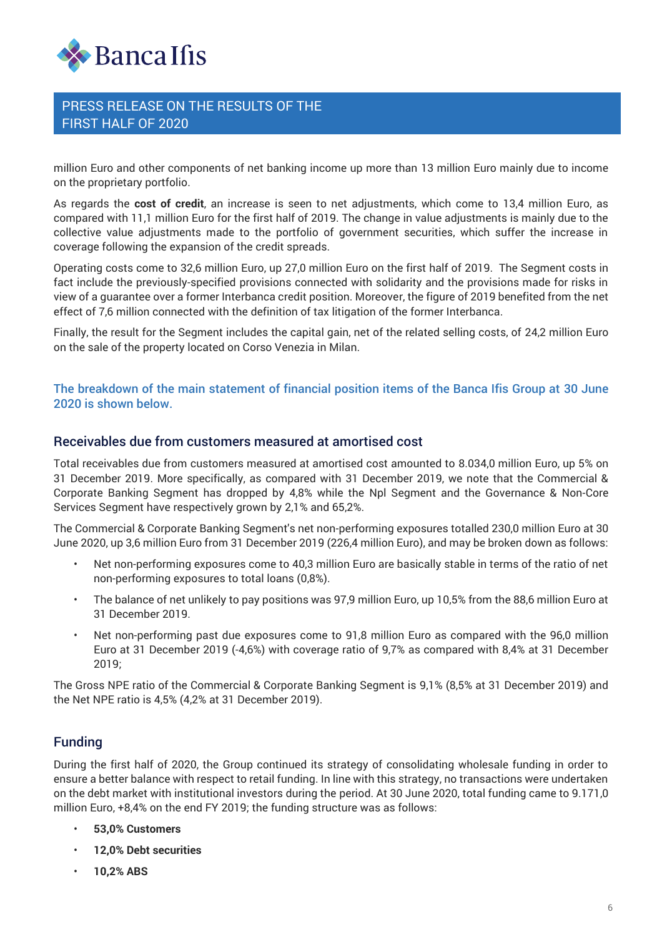

million Euro and other components of net banking income up more than 13 million Euro mainly due to income on the proprietary portfolio.

As regards the **cost of credit**, an increase is seen to net adjustments, which come to 13,4 million Euro, as compared with 11,1 million Euro for the first half of 2019. The change in value adjustments is mainly due to the collective value adjustments made to the portfolio of government securities, which suffer the increase in coverage following the expansion of the credit spreads.

Operating costs come to 32,6 million Euro, up 27,0 million Euro on the first half of 2019. The Segment costs in fact include the previously-specified provisions connected with solidarity and the provisions made for risks in view of a guarantee over a former Interbanca credit position. Moreover, the figure of 2019 benefited from the net effect of 7,6 million connected with the definition of tax litigation of the former Interbanca.

Finally, the result for the Segment includes the capital gain, net of the related selling costs, of 24,2 million Euro on the sale of the property located on Corso Venezia in Milan.

#### The breakdown of the main statement of financial position items of the Banca Ifis Group at 30 June 2020 is shown below.

#### Receivables due from customers measured at amortised cost

Total receivables due from customers measured at amortised cost amounted to 8.034,0 million Euro, up 5% on 31 December 2019. More specifically, as compared with 31 December 2019, we note that the Commercial & Corporate Banking Segment has dropped by 4,8% while the Npl Segment and the Governance & Non-Core Services Segment have respectively grown by 2,1% and 65,2%.

The Commercial & Corporate Banking Segment's net non-performing exposures totalled 230,0 million Euro at 30 June 2020, up 3,6 million Euro from 31 December 2019 (226,4 million Euro), and may be broken down as follows:

- Net non-performing exposures come to 40,3 million Euro are basically stable in terms of the ratio of net non-performing exposures to total loans (0,8%).
- The balance of net unlikely to pay positions was 97,9 million Euro, up 10,5% from the 88,6 million Euro at 31 December 2019.
- Net non-performing past due exposures come to 91,8 million Euro as compared with the 96,0 million Euro at 31 December 2019 (-4,6%) with coverage ratio of 9,7% as compared with 8,4% at 31 December 2019;

The Gross NPE ratio of the Commercial & Corporate Banking Segment is 9,1% (8,5% at 31 December 2019) and the Net NPE ratio is 4,5% (4,2% at 31 December 2019).

## Funding

During the first half of 2020, the Group continued its strategy of consolidating wholesale funding in order to ensure a better balance with respect to retail funding. In line with this strategy, no transactions were undertaken on the debt market with institutional investors during the period. At 30 June 2020, total funding came to 9.171,0 million Euro, +8,4% on the end FY 2019; the funding structure was as follows:

- **53,0% Customers**
- **12,0% Debt securities**
- **10,2% ABS**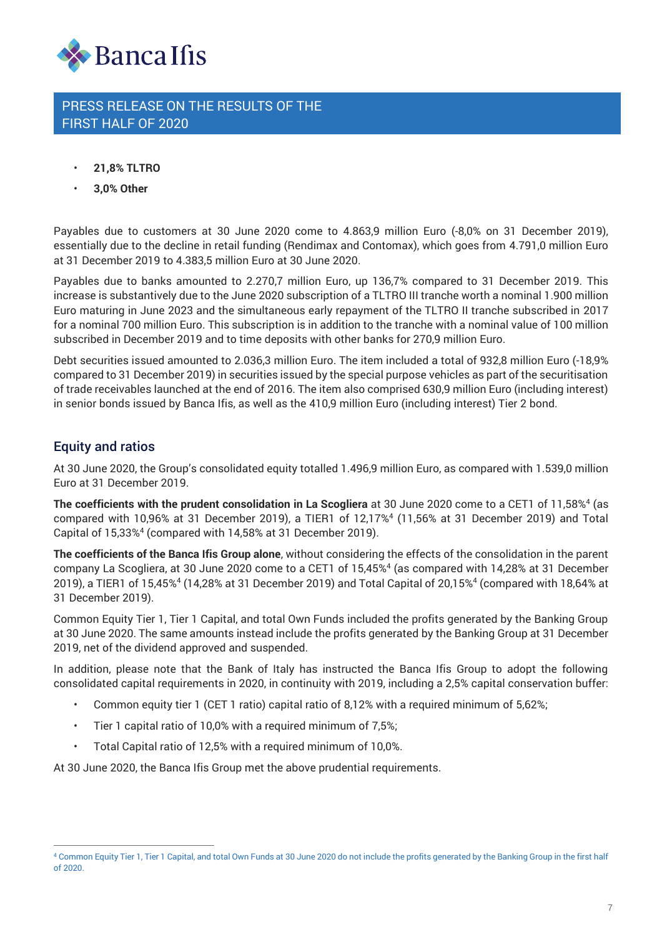

- **21,8% TLTRO**
- **3,0% Other**

Payables due to customers at 30 June 2020 come to 4.863,9 million Euro (-8,0% on 31 December 2019), essentially due to the decline in retail funding (Rendimax and Contomax), which goes from 4.791,0 million Euro at 31 December 2019 to 4.383,5 million Euro at 30 June 2020.

Payables due to banks amounted to 2.270,7 million Euro, up 136,7% compared to 31 December 2019. This increase is substantively due to the June 2020 subscription of a TLTRO III tranche worth a nominal 1.900 million Euro maturing in June 2023 and the simultaneous early repayment of the TLTRO II tranche subscribed in 2017 for a nominal 700 million Euro. This subscription is in addition to the tranche with a nominal value of 100 million subscribed in December 2019 and to time deposits with other banks for 270,9 million Euro.

Debt securities issued amounted to 2.036,3 million Euro. The item included a total of 932,8 million Euro (-18,9% compared to 31 December 2019) in securities issued by the special purpose vehicles as part of the securitisation of trade receivables launched at the end of 2016. The item also comprised 630,9 million Euro (including interest) in senior bonds issued by Banca Ifis, as well as the 410,9 million Euro (including interest) Tier 2 bond.

## Equity and ratios

At 30 June 2020, the Group's consolidated equity totalled 1.496,9 million Euro, as compared with 1.539,0 million Euro at 31 December 2019.

**The coefficients with the prudent consolidation in La Scogliera** at 30 June 2020 come to a CET1 of 11,58%<sup>4</sup> (as compared with 10,96% at 31 December 2019), a TIER1 of 12,17%<sup>4</sup> (11,56% at 31 December 2019) and Total Capital of 15,33%<sup>4</sup> (compared with 14,58% at 31 December 2019).

**The coefficients of the Banca Ifis Group alone**, without considering the effects of the consolidation in the parent company La Scogliera, at 30 June 2020 come to a CET1 of 15,45%<sup>4</sup> (as compared with 14,28% at 31 December 2019), a TIER1 of 15,45%<sup>4</sup> (14,28% at 31 December 2019) and Total Capital of 20,15%<sup>4</sup> (compared with 18,64% at 31 December 2019).

Common Equity Tier 1, Tier 1 Capital, and total Own Funds included the profits generated by the Banking Group at 30 June 2020. The same amounts instead include the profits generated by the Banking Group at 31 December 2019, net of the dividend approved and suspended.

In addition, please note that the Bank of Italy has instructed the Banca Ifis Group to adopt the following consolidated capital requirements in 2020, in continuity with 2019, including a 2,5% capital conservation buffer:

- Common equity tier 1 (CET 1 ratio) capital ratio of 8,12% with a required minimum of 5,62%;
- Tier 1 capital ratio of 10,0% with a required minimum of 7,5%;
- Total Capital ratio of 12,5% with a required minimum of 10,0%.

At 30 June 2020, the Banca Ifis Group met the above prudential requirements.

<sup>4</sup> Common Equity Tier 1, Tier 1 Capital, and total Own Funds at 30 June 2020 do not include the profits generated by the Banking Group in the first half of 2020.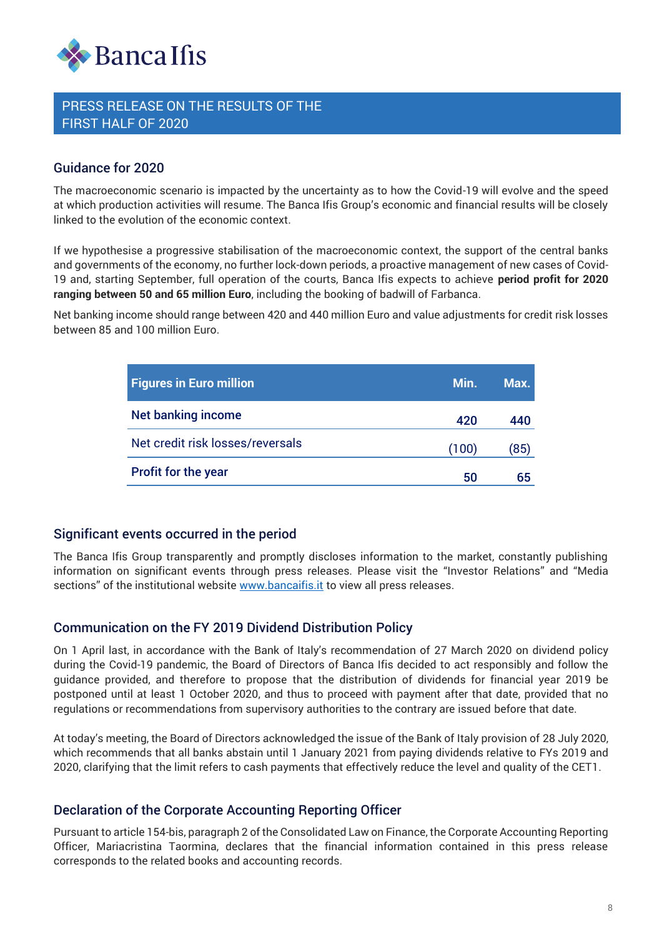

## Guidance for 2020

The macroeconomic scenario is impacted by the uncertainty as to how the Covid-19 will evolve and the speed at which production activities will resume. The Banca Ifis Group's economic and financial results will be closely linked to the evolution of the economic context.

If we hypothesise a progressive stabilisation of the macroeconomic context, the support of the central banks and governments of the economy, no further lock-down periods, a proactive management of new cases of Covidand governments of the economy, no further lock-down periods, a proactive management of new cases of Covid-<br>19 and, starting September, full operation of the courts, Banca Ifis expects to achieve **period profit for 2020 ranging between 50 and 65 million Euro**, including the booking of badwill of Farbanca.

Net banking income should range between 420 and 440 million Euro and value adjustments for credit risk losses between 85 and 100 million Euro.

| If we hypothesise a progressive stabilisation of the macroeconomic context, the support of the<br>and governments of the economy, no further lock-down periods, a proactive management of new<br>19 and, starting September, full operation of the courts, Banca Ifis expects to achieve period |                                                                                                                                                                                                                                                                                                                                                                                                                                                                                                                                                                                                                                                                                                                     |       |      |  |
|-------------------------------------------------------------------------------------------------------------------------------------------------------------------------------------------------------------------------------------------------------------------------------------------------|---------------------------------------------------------------------------------------------------------------------------------------------------------------------------------------------------------------------------------------------------------------------------------------------------------------------------------------------------------------------------------------------------------------------------------------------------------------------------------------------------------------------------------------------------------------------------------------------------------------------------------------------------------------------------------------------------------------------|-------|------|--|
|                                                                                                                                                                                                                                                                                                 | ranging between 50 and 65 million Euro, including the booking of badwill of Farbanca.                                                                                                                                                                                                                                                                                                                                                                                                                                                                                                                                                                                                                               |       |      |  |
|                                                                                                                                                                                                                                                                                                 | Net banking income should range between 420 and 440 million Euro and value adjustments for cr<br>between 85 and 100 million Euro.                                                                                                                                                                                                                                                                                                                                                                                                                                                                                                                                                                                   |       |      |  |
|                                                                                                                                                                                                                                                                                                 |                                                                                                                                                                                                                                                                                                                                                                                                                                                                                                                                                                                                                                                                                                                     |       |      |  |
|                                                                                                                                                                                                                                                                                                 | <b>Figures in Euro million</b>                                                                                                                                                                                                                                                                                                                                                                                                                                                                                                                                                                                                                                                                                      | Min.  | Max. |  |
|                                                                                                                                                                                                                                                                                                 | <b>Net banking income</b>                                                                                                                                                                                                                                                                                                                                                                                                                                                                                                                                                                                                                                                                                           | 420   | 440  |  |
|                                                                                                                                                                                                                                                                                                 | Net credit risk losses/reversals                                                                                                                                                                                                                                                                                                                                                                                                                                                                                                                                                                                                                                                                                    | (100) | (85) |  |
|                                                                                                                                                                                                                                                                                                 | Profit for the year                                                                                                                                                                                                                                                                                                                                                                                                                                                                                                                                                                                                                                                                                                 | 50    | 65   |  |
|                                                                                                                                                                                                                                                                                                 | The Banca Ifis Group transparently and promptly discloses information to the market, constai<br>information on significant events through press releases. Please visit the "Investor Relation<br>sections" of the institutional website <u>www.bancaifis.it</u> to view all press releases.                                                                                                                                                                                                                                                                                                                                                                                                                         |       |      |  |
|                                                                                                                                                                                                                                                                                                 | <b>Communication on the FY 2019 Dividend Distribution Policy</b>                                                                                                                                                                                                                                                                                                                                                                                                                                                                                                                                                                                                                                                    |       |      |  |
|                                                                                                                                                                                                                                                                                                 | On 1 April last, in accordance with the Bank of Italy's recommendation of 27 March 2020 on $\epsilon$<br>during the Covid-19 pandemic, the Board of Directors of Banca Ifis decided to act responsibly<br>guidance provided, and therefore to propose that the distribution of dividends for financial<br>postponed until at least 1 October 2020, and thus to proceed with payment after that date, pr<br>regulations or recommendations from supervisory authorities to the contrary are issued before tl<br>At today's meeting, the Board of Directors acknowledged the issue of the Bank of Italy provision c<br>which recommends that all banks abstain until 1 January 2021 from paying dividends relative to |       |      |  |
|                                                                                                                                                                                                                                                                                                 | 2020, clarifying that the limit refers to cash payments that effectively reduce the level and quality<br>Declaration of the Corporate Accounting Reporting Officer                                                                                                                                                                                                                                                                                                                                                                                                                                                                                                                                                  |       |      |  |
|                                                                                                                                                                                                                                                                                                 | Pursuant to article 154-bis, paragraph 2 of the Consolidated Law on Finance, the Corporate Accour<br>Officer, Mariacristina Taormina, declares that the financial information contained in this<br>corresponds to the related books and accounting records.                                                                                                                                                                                                                                                                                                                                                                                                                                                         |       |      |  |

## Significant events occurred in the period

The Banca Ifis Group transparently and promptly discloses information to the market, constantly publishing information on significant events through press releases. Please visit the "Investor Relations" and "Media sections" of the institutional website [www.bancaifis.it](http://www.bancaifis.it/) to view all press releases.

## Communication on the FY 2019 Dividend Distribution Policy

On 1 April last, in accordance with the Bank of Italy's recommendation of 27 March 2020 on dividend policy during the Covid-19 pandemic, the Board of Directors of Banca Ifis decided to act responsibly and follow the guidance provided, and therefore to propose that the distribution of dividends for financial year 2019 be postponed until at least 1 October 2020, and thus to proceed with payment after that date, provided that no regulations or recommendations from supervisory authorities to the contrary are issued before that date.

At today's meeting, the Board of Directors acknowledged the issue of the Bank of Italy provision of 28 July 2020, which recommends that all banks abstain until 1 January 2021 from paying dividends relative to FYs 2019 and 2020, clarifying that the limit refers to cash payments that effectively reduce the level and quality of the CET1.

## Declaration of the Corporate Accounting Reporting Officer

Pursuant to article 154-bis, paragraph 2 of the Consolidated Law on Finance, the Corporate Accounting Reporting Officer, Mariacristina Taormina, declares that the financial information contained in this press release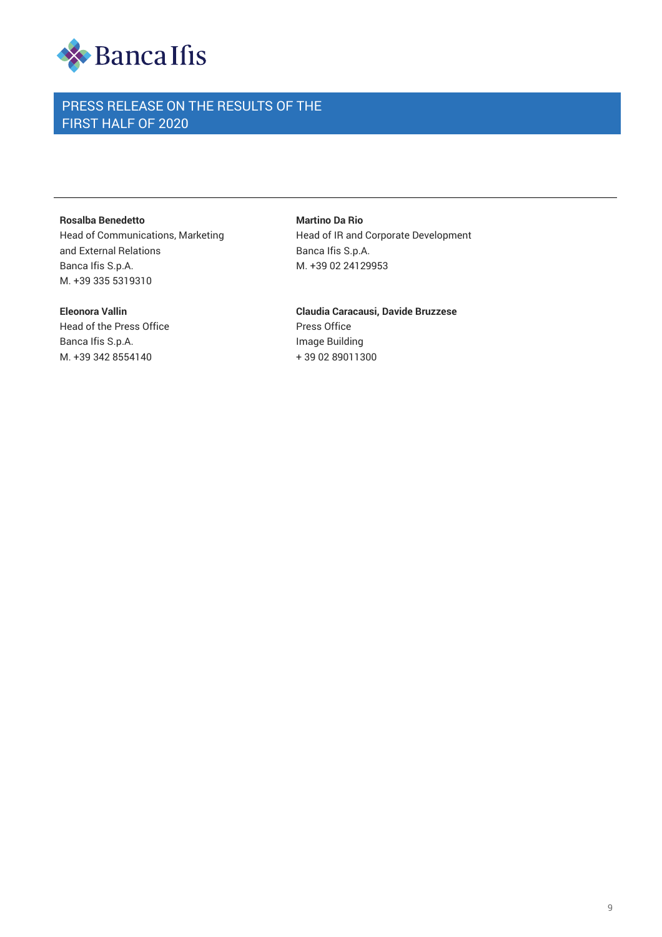

#### **Rosalba Benedetto**

Head of Communications, Marketing and External Relations Banca Ifis S.p.A. M. +39 335 5319310

#### **Eleonora Vallin**

Head of the Press Office Banca Ifis S.p.A. M. +39 342 8554140

**Martino Da Rio** Head of IR and Corporate Development Banca Ifis S.p.A. M. +39 02 24129953

**Claudia Caracausi, Davide Bruzzese** Press Office Image Building + 39 02 89011300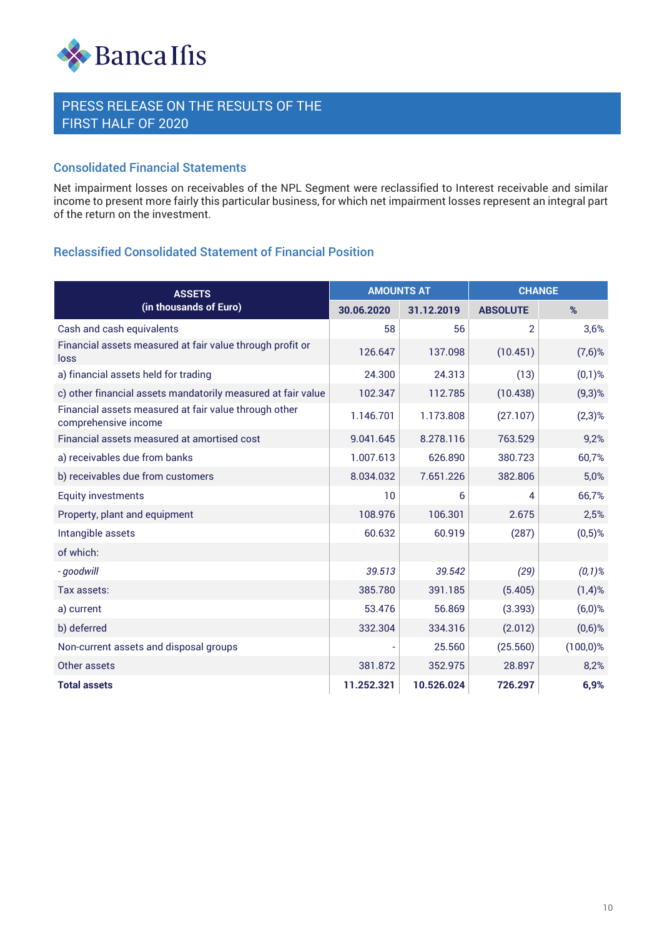

#### Consolidated Financial Statements

Net impairment losses on receivables of the NPL Segment were reclassified to Interest receivable and similar income to present more fairly this particular business, for which net impairment losses represent an integral part of the return on the investment.

## Reclassified Consolidated Statement of Financial Position

| <b>ASSETS</b>                                                                 | <b>AMOUNTS AT</b> |            | <b>CHANGE</b>   |             |
|-------------------------------------------------------------------------------|-------------------|------------|-----------------|-------------|
| (in thousands of Euro)                                                        | 30.06.2020        | 31.12.2019 | <b>ABSOLUTE</b> | %           |
| Cash and cash equivalents                                                     | 58                | 56         | $\overline{2}$  | 3,6%        |
| Financial assets measured at fair value through profit or<br>loss             | 126.647           | 137.098    | (10.451)        | $(7,6)$ %   |
| a) financial assets held for trading                                          | 24.300            | 24.313     | (13)            | $(0,1)$ %   |
| c) other financial assets mandatorily measured at fair value                  | 102.347           | 112.785    | (10.438)        | $(9,3)$ %   |
| Financial assets measured at fair value through other<br>comprehensive income | 1.146.701         | 1.173.808  | (27.107)        | $(2,3)$ %   |
| Financial assets measured at amortised cost                                   | 9.041.645         | 8.278.116  | 763.529         | 9,2%        |
| a) receivables due from banks                                                 | 1.007.613         | 626.890    | 380.723         | 60,7%       |
| b) receivables due from customers                                             | 8.034.032         | 7.651.226  | 382.806         | 5,0%        |
| <b>Equity investments</b>                                                     | 10                | 6          | 4               | 66,7%       |
| Property, plant and equipment                                                 | 108.976           | 106.301    | 2.675           | 2,5%        |
| Intangible assets                                                             | 60.632            | 60.919     | (287)           | $(0,5)$ %   |
| of which:                                                                     |                   |            |                 |             |
| - goodwill                                                                    | 39.513            | 39.542     | (29)            | $(0,1)$ %   |
| Tax assets:                                                                   | 385.780           | 391.185    | (5.405)         | $(1,4)$ %   |
| a) current                                                                    | 53.476            | 56.869     | (3.393)         | $(6,0)$ %   |
| b) deferred                                                                   | 332.304           | 334.316    | (2.012)         | $(0,6)$ %   |
| Non-current assets and disposal groups                                        |                   | 25.560     | (25.560)        | $(100,0)$ % |
| Other assets                                                                  | 381.872           | 352.975    | 28.897          | 8,2%        |
| <b>Total assets</b>                                                           | 11.252.321        | 10.526.024 | 726.297         | 6,9%        |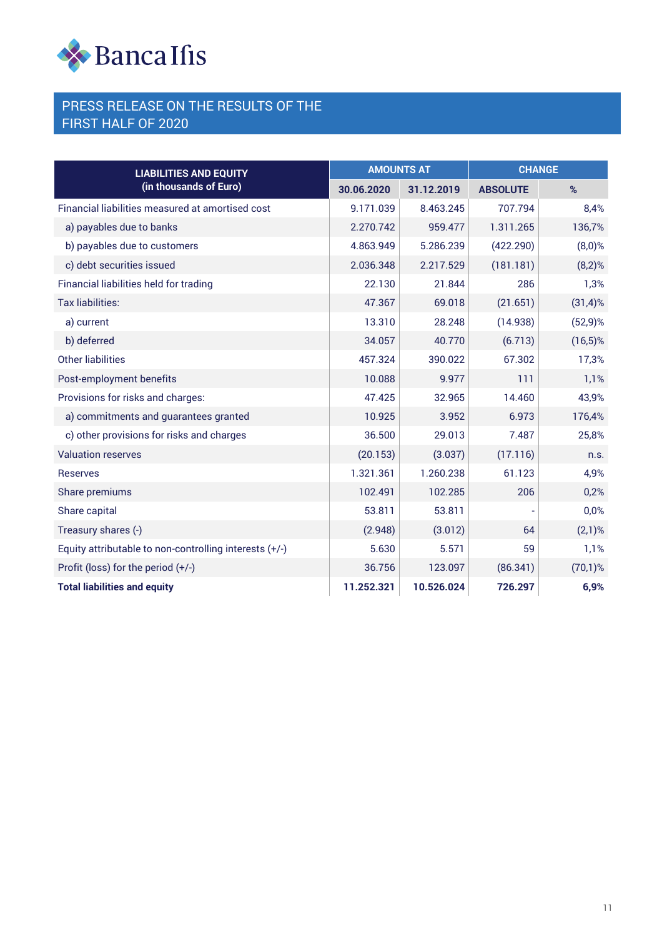

| <b>LIABILITIES AND EQUITY</b>                          | <b>AMOUNTS AT</b> |            | <b>CHANGE</b>   |             |
|--------------------------------------------------------|-------------------|------------|-----------------|-------------|
| (in thousands of Euro)                                 | 30.06.2020        | 31.12.2019 | <b>ABSOLUTE</b> | %           |
| Financial liabilities measured at amortised cost       | 9.171.039         | 8.463.245  | 707.794         | 8,4%        |
| a) payables due to banks                               | 2.270.742         | 959.477    | 1.311.265       | 136,7%      |
| b) payables due to customers                           | 4.863.949         | 5.286.239  | (422.290)       | $(8,0)$ %   |
| c) debt securities issued                              | 2.036.348         | 2.217.529  | (181.181)       | $(8,2)$ %   |
| Financial liabilities held for trading                 | 22.130            | 21.844     | 286             | 1,3%        |
| <b>Tax liabilities:</b>                                | 47.367            | 69.018     | (21.651)        | $(31,4)$ %  |
| a) current                                             | 13.310            | 28.248     | (14.938)        | $(52, 9)$ % |
| b) deferred                                            | 34.057            | 40.770     | (6.713)         | $(16,5)$ %  |
| Other liabilities                                      | 457.324           | 390.022    | 67.302          | 17,3%       |
| Post-employment benefits                               | 10.088            | 9.977      | 111             | 1,1%        |
| Provisions for risks and charges:                      | 47.425            | 32.965     | 14.460          | 43,9%       |
| a) commitments and guarantees granted                  | 10.925            | 3.952      | 6.973           | 176,4%      |
| c) other provisions for risks and charges              | 36.500            | 29.013     | 7.487           | 25,8%       |
| <b>Valuation reserves</b>                              | (20.153)          | (3.037)    | (17.116)        | n.s.        |
| <b>Reserves</b>                                        | 1.321.361         | 1.260.238  | 61.123          | 4,9%        |
| Share premiums                                         | 102.491           | 102.285    | 206             | 0,2%        |
| Share capital                                          | 53.811            | 53.811     |                 | 0,0%        |
| Treasury shares (-)                                    | (2.948)           | (3.012)    | 64              | $(2,1)$ %   |
| Equity attributable to non-controlling interests (+/-) | 5.630             | 5.571      | 59              | 1,1%        |
| Profit (loss) for the period $(+/-)$                   | 36.756            | 123.097    | (86.341)        | $(70,1)$ %  |
| <b>Total liabilities and equity</b>                    | 11.252.321        | 10.526.024 | 726.297         | 6,9%        |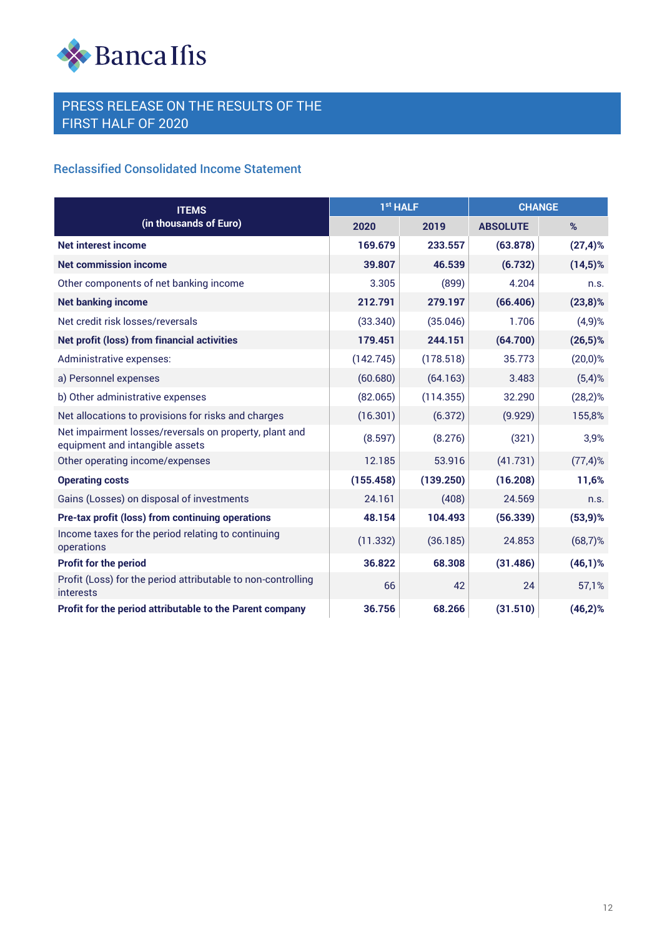

## Reclassified Consolidated Income Statement

| <b>ITEMS</b>                                                                              | 1 <sup>st</sup> HALF |           | <b>CHANGE</b>   |             |
|-------------------------------------------------------------------------------------------|----------------------|-----------|-----------------|-------------|
| (in thousands of Euro)                                                                    | 2020                 | 2019      | <b>ABSOLUTE</b> | %           |
| <b>Net interest income</b>                                                                | 169.679              | 233.557   | (63.878)        | $(27, 4)$ % |
| <b>Net commission income</b>                                                              | 39.807               | 46.539    | (6.732)         | $(14,5)$ %  |
| Other components of net banking income                                                    | 3.305                | (899)     | 4.204           | n.s.        |
| <b>Net banking income</b>                                                                 | 212.791              | 279.197   | (66.406)        | $(23,8)\%$  |
| Net credit risk losses/reversals                                                          | (33.340)             | (35.046)  | 1.706           | $(4,9)$ %   |
| <b>Net profit (loss) from financial activities</b>                                        | 179.451              | 244.151   | (64.700)        | $(26,5)$ %  |
| Administrative expenses:                                                                  | (142.745)            | (178.518) | 35.773          | $(20,0)$ %  |
| a) Personnel expenses                                                                     | (60.680)             | (64.163)  | 3.483           | $(5,4)$ %   |
| b) Other administrative expenses                                                          | (82.065)             | (114.355) | 32.290          | $(28,2)$ %  |
| Net allocations to provisions for risks and charges                                       | (16.301)             | (6.372)   | (9.929)         | 155,8%      |
| Net impairment losses/reversals on property, plant and<br>equipment and intangible assets | (8.597)              | (8.276)   | (321)           | 3,9%        |
| Other operating income/expenses                                                           | 12.185               | 53.916    | (41.731)        | $(77,4)$ %  |
| <b>Operating costs</b>                                                                    | (155.458)            | (139.250) | (16.208)        | 11,6%       |
| Gains (Losses) on disposal of investments                                                 | 24.161               | (408)     | 24.569          | n.s.        |
| Pre-tax profit (loss) from continuing operations                                          | 48.154               | 104.493   | (56.339)        | $(53, 9)$ % |
| Income taxes for the period relating to continuing<br>operations                          | (11.332)             | (36.185)  | 24.853          | $(68,7)$ %  |
| <b>Profit for the period</b>                                                              | 36.822               | 68.308    | (31.486)        | $(46,1)$ %  |
| Profit (Loss) for the period attributable to non-controlling<br><b>interests</b>          | 66                   | 42        | 24              | 57,1%       |
| Profit for the period attributable to the Parent company                                  | 36.756               | 68.266    | (31.510)        | $(46,2)\%$  |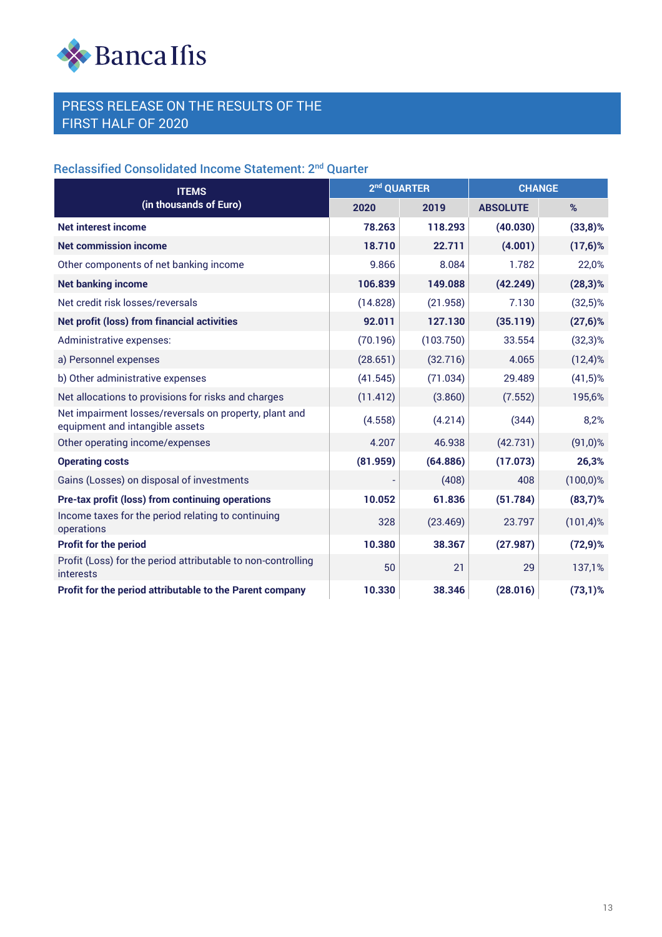

# Reclassified Consolidated Income Statement: 2nd Quarter

| <b>ITEMS</b>                                                                              | 2 <sup>nd</sup> QUARTER |           | <b>CHANGE</b>   |              |
|-------------------------------------------------------------------------------------------|-------------------------|-----------|-----------------|--------------|
| (in thousands of Euro)                                                                    | 2020                    | 2019      | <b>ABSOLUTE</b> | %            |
| <b>Net interest income</b>                                                                | 78.263                  | 118.293   | (40.030)        | $(33,8)$ %   |
| <b>Net commission income</b>                                                              | 18.710                  | 22.711    | (4.001)         | $(17,6)$ %   |
| Other components of net banking income                                                    | 9.866                   | 8.084     | 1.782           | 22,0%        |
| <b>Net banking income</b>                                                                 | 106.839                 | 149.088   | (42.249)        | $(28,3)$ %   |
| Net credit risk losses/reversals                                                          | (14.828)                | (21.958)  | 7.130           | $(32,5)\%$   |
| <b>Net profit (loss) from financial activities</b>                                        | 92.011                  | 127.130   | (35.119)        | $(27,6)$ %   |
| Administrative expenses:                                                                  | (70.196)                | (103.750) | 33.554          | $(32,3)$ %   |
| a) Personnel expenses                                                                     | (28.651)                | (32.716)  | 4.065           | $(12,4)$ %   |
| b) Other administrative expenses                                                          | (41.545)                | (71.034)  | 29.489          | $(41,5)$ %   |
| Net allocations to provisions for risks and charges                                       | (11.412)                | (3.860)   | (7.552)         | 195,6%       |
| Net impairment losses/reversals on property, plant and<br>equipment and intangible assets | (4.558)                 | (4.214)   | (344)           | 8,2%         |
| Other operating income/expenses                                                           | 4.207                   | 46.938    | (42.731)        | $(91,0)$ %   |
| <b>Operating costs</b>                                                                    | (81.959)                | (64.886)  | (17.073)        | 26,3%        |
| Gains (Losses) on disposal of investments                                                 |                         | (408)     | 408             | $(100,0)$ %  |
| Pre-tax profit (loss) from continuing operations                                          | 10.052                  | 61.836    | (51.784)        | $(83,7)$ %   |
| Income taxes for the period relating to continuing<br>operations                          | 328                     | (23.469)  | 23.797          | $(101, 4)$ % |
| Profit for the period                                                                     | 10.380                  | 38.367    | (27.987)        | $(72, 9)$ %  |
| Profit (Loss) for the period attributable to non-controlling<br><b>interests</b>          | 50                      | 21        | 29              | 137,1%       |
| Profit for the period attributable to the Parent company                                  | 10.330                  | 38.346    | (28.016)        | $(73,1)$ %   |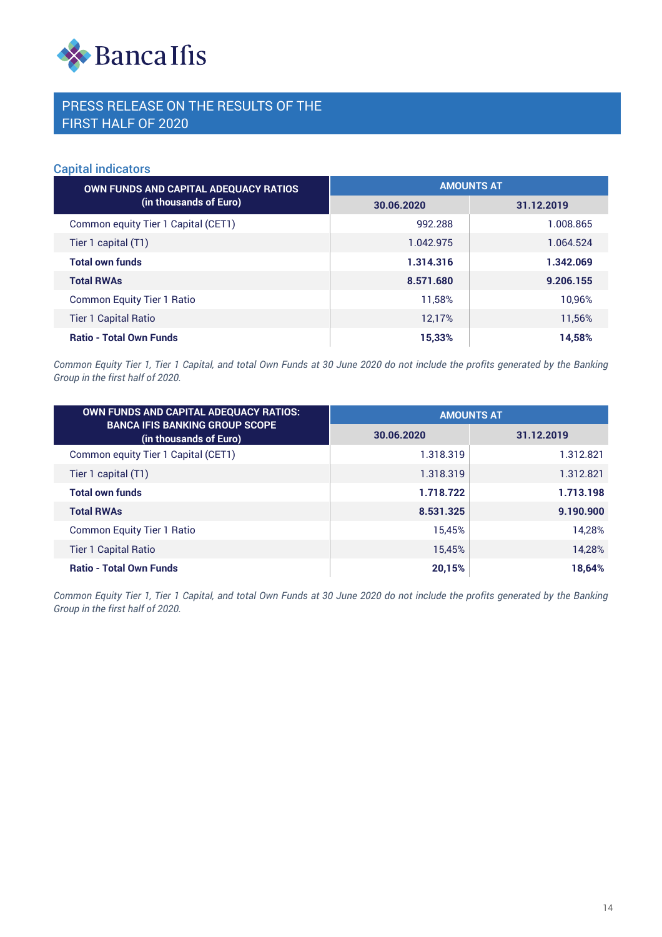

#### Capital indicators

| OWN FUNDS AND CAPITAL ADEQUACY RATIOS | <b>AMOUNTS AT</b> |            |  |  |
|---------------------------------------|-------------------|------------|--|--|
| (in thousands of Euro)                | 30.06.2020        | 31.12.2019 |  |  |
| Common equity Tier 1 Capital (CET1)   | 992.288           | 1.008.865  |  |  |
| Tier 1 capital (T1)                   | 1.042.975         | 1.064.524  |  |  |
| <b>Total own funds</b>                | 1.314.316         | 1.342.069  |  |  |
| <b>Total RWAs</b>                     | 8.571.680         | 9.206.155  |  |  |
| <b>Common Equity Tier 1 Ratio</b>     | 11.58%            | 10,96%     |  |  |
| <b>Tier 1 Capital Ratio</b>           | 12.17%            | 11,56%     |  |  |
| <b>Ratio - Total Own Funds</b>        | 15,33%            | 14,58%     |  |  |

*Common Equity Tier 1, Tier 1 Capital, and total Own Funds at 30 June 2020 do not include the profits generated by the Banking Group in the first half of 2020.*

| <b>OWN FUNDS AND CAPITAL ADEQUACY RATIOS:</b>                   | <b>AMOUNTS AT</b> |            |  |
|-----------------------------------------------------------------|-------------------|------------|--|
| <b>BANCA IFIS BANKING GROUP SCOPE</b><br>(in thousands of Euro) | 30.06.2020        | 31.12.2019 |  |
| Common equity Tier 1 Capital (CET1)                             | 1.318.319         | 1.312.821  |  |
| Tier 1 capital (T1)                                             | 1.318.319         | 1.312.821  |  |
| <b>Total own funds</b>                                          | 1.718.722         | 1.713.198  |  |
| <b>Total RWAs</b>                                               | 8.531.325         | 9.190.900  |  |
| <b>Common Equity Tier 1 Ratio</b>                               | 15.45%            | 14.28%     |  |
| <b>Tier 1 Capital Ratio</b>                                     | 15,45%            | 14,28%     |  |
| <b>Ratio - Total Own Funds</b>                                  | 20,15%            | 18,64%     |  |

*Common Equity Tier 1, Tier 1 Capital, and total Own Funds at 30 June 2020 do not include the profits generated by the Banking Group in the first half of 2020.*